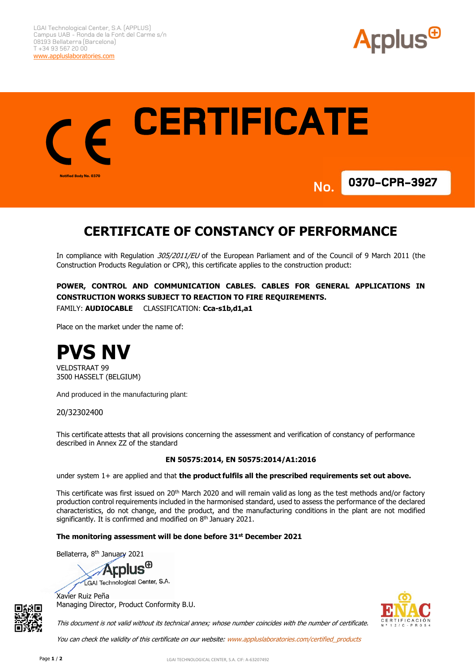



# **CERTIFICATE OF CONSTANCY OF PERFORMANCE**

In compliance with Regulation 305/2011/EU of the European Parliament and of the Council of 9 March 2011 (the Construction Products Regulation or CPR), this certificate applies to the construction product:

## **POWER, CONTROL AND COMMUNICATION CABLES. CABLES FOR GENERAL APPLICATIONS IN CONSTRUCTION WORKS SUBJECT TO REACTION TO FIRE REQUIREMENTS.**

FAMILY: **AUDIOCABLE** CLASSIFICATION: **Cca-s1b,d1,a1**

Place on the market under the name of:



VELDSTRAAT 99 3500 HASSELT (BELGIUM)

And produced in the manufacturing plant:

20/32302400

This certificate attests that all provisions concerning the assessment and verification of constancy of performance described in Annex ZZ of the standard

### **EN 50575:2014, EN 50575:2014/A1:2016**

under system 1+ are applied and that **the product fulfils all the prescribed requirements set out above.**

This certificate was first issued on 20<sup>th</sup> March 2020 and will remain valid as long as the test methods and/or factory production control requirements included in the harmonised standard, used to assess the performance of the declared characteristics, do not change, and the product, and the manufacturing conditions in the plant are not modified significantly. It is confirmed and modified on 8<sup>th</sup> January 2021.

#### **The monitoring assessment will be done before 31st December 2021**

Bellaterra, 8<sup>th</sup> January 2021

**Arplus<sup>®</sup>** GAI Technological Center, S.A.

Xavier Ruiz Peña Managing Director, Product Conformity B.U.



This document is not valid without its technical annex; whose number coincides with the number of certificate.

You can check the validity of this certificate on our website: www.appluslaboratories.com/certified\_products